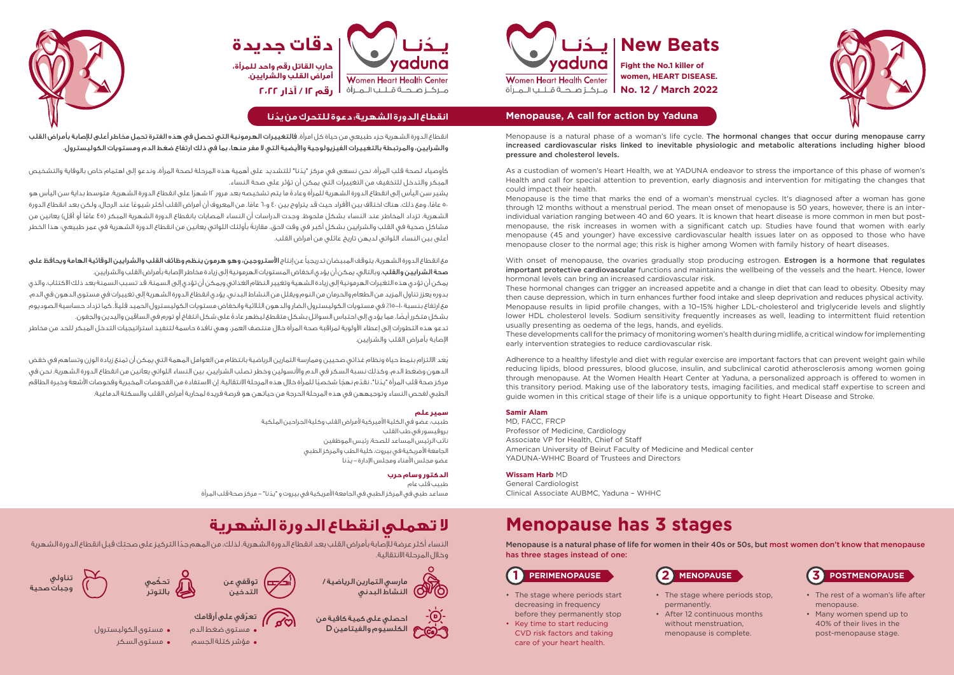

# **Fight the No.1 killer of women, HEART DISEASE.**



# **Menopause, A call for action by Yaduna**

# Menopause is a natural phase of a woman's life cycle. The hormonal changes that occur during menopause carry



increased cardiovascular risks linked to inevitable physiologic and metabolic alterations including higher blood pressure and cholesterol levels.

As a custodian of women's Heart Health, we at YADUNA endeavor to stress the importance of this phase of women's Health and call for special attention to prevention, early diagnosis and intervention for mitigating the changes that could impact their health.

Menopause is the time that marks the end of a woman's menstrual cycles. It's diagnosed after a woman has gone through 12 months without a menstrual period. The mean onset of menopause is 50 years, however, there is an interindividual variation ranging between 40 and 60 years. It is known that heart disease is more common in men but postmenopause, the risk increases in women with a significant catch up. Studies have found that women with early menopause (45 and younger) have excessive cardiovascular health issues later on as opposed to those who have menopause closer to the normal age; this risk is higher among Women with family history of heart diseases.

With onset of menopause, the ovaries gradually stop producing estrogen. Estrogen is a hormone that regulates important protective cardiovascular functions and maintains the wellbeing of the vessels and the heart. Hence, lower hormonal levels can bring an increased cardiovascular risk. These hormonal changes can trigger an increased appetite and a change in diet that can lead to obesity. Obesity may then cause depression, which in turn enhances further food intake and sleep deprivation and reduces physical activity. Menopause results in lipid profile changes, with a 10–15% higher LDL-cholesterol and triglyceride levels and slightly lower HDL cholesterol levels. Sodium sensitivity frequently increases as well, leading to intermittent fluid retention usually presenting as oedema of the legs, hands, and eyelids. These developments call for the primacy of monitoring women's health during midlife, a critical window for implementing early intervention strategies to reduce cardiovascular risk.

طبيب، عضو في الكلية الأميركية لأمراض القلب وكلية الجراحين الملكية بروفيسور في طب القلب نائب الرئيس المساعد للصحة، رئيس الموظفين الجامعة الأمريكية في بيروت، كلية الطب والمركز الطبي ُ عضو مجلس األمناء ومجلس اإلدارة - يدنا

Adherence to a healthy lifestyle and diet with regular exercise are important factors that can prevent weight gain while reducing lipids, blood pressures, blood glucose, insulin, and subclinical carotid atherosclerosis among women going through menopause. At the Women Health Heart Center at Yaduna, a personalized approach is offered to women in this transitory period. Making use of the laboratory tests, imaging facilities, and medical staff expertise to screen and guide women in this critical stage of their life is a unique opportunity to fight Heart Disease and Stroke.

Menopause is a natural phase of life for women in their 40s or 50s, but most women don't know that menopause has three stages instead of one:

مع انقطاع الدورة الشهرية، يتوقف المبيضان تدريجياً عن إنتاج **الأستروجين، وهو هرمون ينظم وظائف القلب والشرايين الوقائية الهامة ويحافظ على** صحة الشرايين والقلب. وبالتالي، يمكن أن يؤدي انخفاض المستويات الهرمونية إلى زيادة مخاطر اإلصابة بأمراض القلب والشرايين. يمكن أن تؤدي هذه التغيرات الهرمونية إلى زيادة الشهية وتغيير النظام الغذائي ويمكن أن تؤدي إلى السمنة. قد تسبب السمنة بعد ذلك االكتئاب، والذي بدوره يعزز تناول المزيد من الطعام والحرمان من النوم ويقلل من النشاط البدني. يؤدي انقطاع الدورة الشهرية إلى تغييرات في مستوى الدهون في الدم، مع ارتفاع بنسبة ،ا–١٥٪ في مستويات الكوليسترول الضار والدهون الثالثية وانخفاض مستويات الكوليسترول الحميد قليلاً. كما تزداد حساسية الصوديوم بشكل متكرر أيضًا، مما يؤدي إلى احتباس السوائل بشكل متقطع ليظهر عادةً على شكل انتفاخ أو تورم في الساقين واليدين والجفون. تدعو هذه التطورات إلى إعطاء األولوية لمراقبة صحة المرأة خالل منتصف العمر، وهي نافذة حاسمة لتنفيذ استراتيجيات التدخل المبكر للحد من مخاطر

# **Menopause has 3 stages**

## **Samir Alam**

MD, FACC, FRCP Professor of Medicine, Cardiology Associate VP for Health, Chief of Staff American University of Beirut Faculty of Medicine and Medical center YADUNA-WHHC Board of Trustees and Directors



**Wissam Harb** MD General Cardiologist Clinical Associate AUBMC, Yaduna – WHHC

# **ال تهملي انقطاع الدورة الشهرية**

ً النساء أكثر عرضة لإلصابة بأمراض القلب بعد انقطاع الدورة الشهرية. لذلك، من المهم جد ِ ا التركيز على صحتك قبل انقطاع الدورة الشهرية وخالل المرحلة االنتقالية.

> احصلي على كمية كافية من الكلسيوم والفيتامين D









### **سمير علم**

## **الدكتور وسام حرب**

طبيب قلب عام ُ مساعد طبي في المركز الطبي في الجامعة األمريكية في بيروت و "يدنا" - مركز صحة قلب المرأة

# **ُ انقطاع الدورة الشهرية: دعوة للتحرك من يدنا**

انقطاع الدورة الشهرية جزء طبيعي من حياة كل امرأة. فالتغييرات الهرمونية التي تحصل في هذه الفترة تحمل مخاطر أعلى لإلصابة بأمراض القلب والشرايين، والمرتبطة بالتغييرات الفيزيولوجية واأليضية التي ال مفر منها، بما في ذلك ارتفاع ضغط الدم ومستويات الكوليسترول.

ُ كأوصياء لصحة قلب المرأة، نحن نسعى في مركز "يدنا" للتشديد على أهمية هذه المرحلة لصحة المرأة، وندعو إلى اهتمام خاص بالوقاية والتشخيص المبكر والتدخل للتخفيف من التغييرات التي يمكن أن تؤثر على صحة النساء.

ً يشير سن اليأس إلى انقطاع الدورة الشهرية للمرأة وعادة ً ما يتم تشخيصه بعد مرور 12 شهرا على انقطاع الدورة الشهرية. متوسط بداية سن اليأس هو ٥٠ عامًا، ومع ذلك، هناك اختلاف بين الأفراد حيث قد يتراوح بين ٤٠ و٦٠ عامًا. من المعروف أن أمراض القلب أكثر شيوعًا عند الرجال، ولكن بعد انقطاع الدورة الشهرية، تزداد المخاطر عند النساء بشكل ملحوظ. وجدت الدراسات أن النساء المصابات بانقطاع الدورة الشهرية المبكر (٤٥ عامًا أو أقل) يعانين من ً مشاكل صحية في القلب والشرايين بشكل أكبر في وقت الحق، مقارنة بأولئك اللواتي يعانين من انقطاع الدورة الشهرية في عمر طبيعي؛ هذا الخطر أعلى بين النساء اللواتي لديهن تاريخ عائلي من أمراض القلب.

اإلصابة بأمراض القلب والشرايين.

ُي َعد االلتزام بنمط حياة ونظام غذائي صحيين وممارسة التمارين الرياضية بانتظام من العوامل المهمة التي يمكن أن تمنع زيادة الوزن وتساهم في خفض الدهون وضغط الدم، وكذلك نسبة السكر في الدم واألنسولين وخطر تصلب الشرايين، بين النساء اللواتي يعانين من انقطاع الدورة الشهرية. نحن في مركز صحة قلب المرأة "يدُنا"، نقدّم نهجًا شخصيًا للمرأة خلال هذه المرحلة الانتقالية. إن الاستفادة من الفحوصات المخبرية وفحوصات الأشعة وخبرة الطاقم الطبي لفحص النساء وتوجيههن في هذه المرحلة الحرجة من حياتهن هو فرصة فريدة لمحاربة أمراض القلب والسكتة الدماغية.

- The stage where periods start decreasing in frequency before they permanently stop
- Key time to start reducing CVD risk factors and taking care of your heart health.

- The rest of a woman's life after menopause.
- Many women spend up to 40% of their lives in the post-menopause stage.



- The stage where periods stop, permanently.
- After 12 continuous months without menstruation. menopause is complete.



- 
- 
- مستوى السكر
- 
- مستوى الكوليسترول
	-
- ّ تعرفي على أرقامك مستوى ضغط الدم
	-
- 
- -
- مؤشر كتلة الجسم